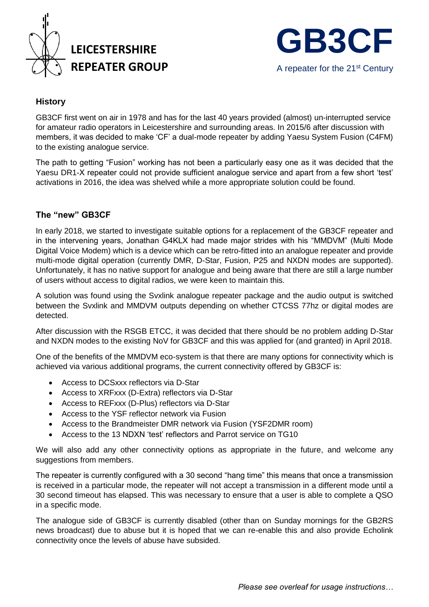



## **History**

GB3CF first went on air in 1978 and has for the last 40 years provided (almost) un-interrupted service for amateur radio operators in Leicestershire and surrounding areas. In 2015/6 after discussion with members, it was decided to make 'CF' a dual-mode repeater by adding Yaesu System Fusion (C4FM) to the existing analogue service.

The path to getting "Fusion" working has not been a particularly easy one as it was decided that the Yaesu DR1-X repeater could not provide sufficient analogue service and apart from a few short 'test' activations in 2016, the idea was shelved while a more appropriate solution could be found.

## **The "new" GB3CF**

In early 2018, we started to investigate suitable options for a replacement of the GB3CF repeater and in the intervening years, Jonathan G4KLX had made major strides with his "MMDVM" (Multi Mode Digital Voice Modem) which is a device which can be retro-fitted into an analogue repeater and provide multi-mode digital operation (currently DMR, D-Star, Fusion, P25 and NXDN modes are supported). Unfortunately, it has no native support for analogue and being aware that there are still a large number of users without access to digital radios, we were keen to maintain this.

A solution was found using the Svxlink analogue repeater package and the audio output is switched between the Svxlink and MMDVM outputs depending on whether CTCSS 77hz or digital modes are detected.

After discussion with the RSGB ETCC, it was decided that there should be no problem adding D-Star and NXDN modes to the existing NoV for GB3CF and this was applied for (and granted) in April 2018.

One of the benefits of the MMDVM eco-system is that there are many options for connectivity which is achieved via various additional programs, the current connectivity offered by GB3CF is:

- Access to DCSxxx reflectors via D-Star
- Access to XRFxxx (D-Extra) reflectors via D-Star
- Access to REFxxx (D-Plus) reflectors via D-Star
- Access to the YSF reflector network via Fusion
- Access to the Brandmeister DMR network via Fusion (YSF2DMR room)
- Access to the 13 NDXN 'test' reflectors and Parrot service on TG10

We will also add any other connectivity options as appropriate in the future, and welcome any suggestions from members.

The repeater is currently configured with a 30 second "hang time" this means that once a transmission is received in a particular mode, the repeater will not accept a transmission in a different mode until a 30 second timeout has elapsed. This was necessary to ensure that a user is able to complete a QSO in a specific mode.

The analogue side of GB3CF is currently disabled (other than on Sunday mornings for the GB2RS news broadcast) due to abuse but it is hoped that we can re-enable this and also provide Echolink connectivity once the levels of abuse have subsided.